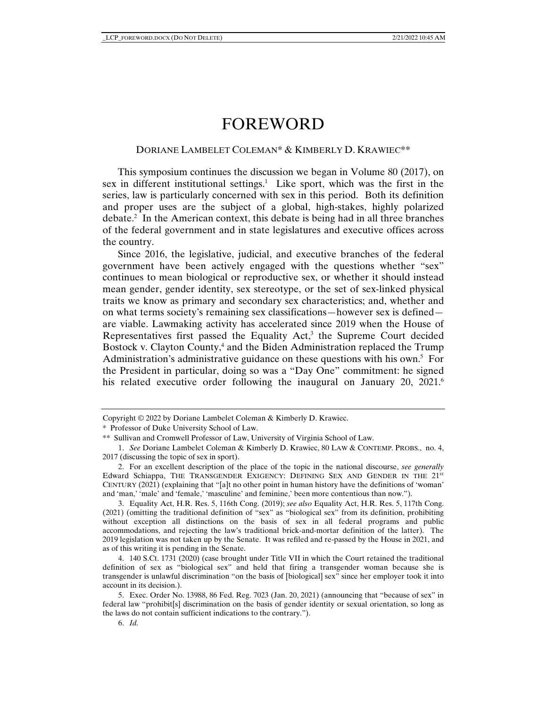# FOREWORD

## DORIANE LAMBELET COLEMAN\* & KIMBERLY D. KRAWIEC\*\*

This symposium continues the discussion we began in Volume 80 (2017), on sex in different institutional settings.<sup>1</sup> Like sport, which was the first in the series, law is particularly concerned with sex in this period. Both its definition and proper uses are the subject of a global, high-stakes, highly polarized debate.2 In the American context, this debate is being had in all three branches of the federal government and in state legislatures and executive offices across the country.

Since 2016, the legislative, judicial, and executive branches of the federal government have been actively engaged with the questions whether "sex" continues to mean biological or reproductive sex, or whether it should instead mean gender, gender identity, sex stereotype, or the set of sex-linked physical traits we know as primary and secondary sex characteristics; and, whether and on what terms society's remaining sex classifications—however sex is defined are viable. Lawmaking activity has accelerated since 2019 when the House of Representatives first passed the Equality  $Act$ ,<sup>3</sup> the Supreme Court decided Bostock v. Clayton County,<sup>4</sup> and the Biden Administration replaced the Trump Administration's administrative guidance on these questions with his own.<sup>5</sup> For the President in particular, doing so was a "Day One" commitment: he signed his related executive order following the inaugural on January 20, 2021.<sup>6</sup>

Copyright © 2022 by Doriane Lambelet Coleman & Kimberly D. Krawiec.

<sup>\*</sup> Professor of Duke University School of Law.

<sup>\*\*</sup> Sullivan and Cromwell Professor of Law, University of Virginia School of Law.

 <sup>1.</sup> *See* Doriane Lambelet Coleman & Kimberly D. Krawiec, 80 LAW & CONTEMP. PROBS., no. 4, 2017 (discussing the topic of sex in sport).

 <sup>2.</sup> For an excellent description of the place of the topic in the national discourse, *see generally* Edward Schiappa, THE TRANSGENDER EXIGENCY: DEFINING SEX AND GENDER IN THE 21<sup>st</sup> CENTURY (2021) (explaining that "[a]t no other point in human history have the definitions of 'woman' and 'man,' 'male' and 'female,' 'masculine' and feminine,' been more contentious than now.").

 <sup>3.</sup> Equality Act, H.R. Res. 5, 116th Cong. (2019); *see also* Equality Act, H.R. Res. 5, 117th Cong. (2021) (omitting the traditional definition of "sex" as "biological sex" from its definition, prohibiting without exception all distinctions on the basis of sex in all federal programs and public accommodations, and rejecting the law's traditional brick-and-mortar definition of the latter). The 2019 legislation was not taken up by the Senate. It was refiled and re-passed by the House in 2021, and as of this writing it is pending in the Senate.

 <sup>4. 140</sup> S.Ct. 1731 (2020) (case brought under Title VII in which the Court retained the traditional definition of sex as "biological sex" and held that firing a transgender woman because she is transgender is unlawful discrimination "on the basis of [biological] sex" since her employer took it into account in its decision.).

 <sup>5.</sup> Exec. Order No. 13988, 86 Fed. Reg. 7023 (Jan. 20, 2021) (announcing that "because of sex" in federal law "prohibit[s] discrimination on the basis of gender identity or sexual orientation, so long as the laws do not contain sufficient indications to the contrary.").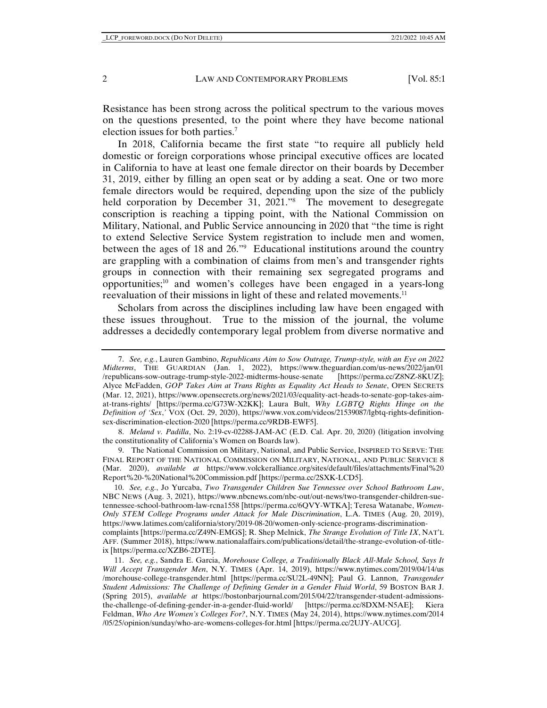Resistance has been strong across the political spectrum to the various moves on the questions presented, to the point where they have become national election issues for both parties.7

In 2018, California became the first state "to require all publicly held domestic or foreign corporations whose principal executive offices are located in California to have at least one female director on their boards by December 31, 2019, either by filling an open seat or by adding a seat. One or two more female directors would be required, depending upon the size of the publicly held corporation by December 31, 2021.<sup>78</sup> The movement to desegregate conscription is reaching a tipping point, with the National Commission on Military, National, and Public Service announcing in 2020 that "the time is right to extend Selective Service System registration to include men and women, between the ages of 18 and 26."9 Educational institutions around the country are grappling with a combination of claims from men's and transgender rights groups in connection with their remaining sex segregated programs and opportunities; $10$  and women's colleges have been engaged in a years-long reevaluation of their missions in light of these and related movements.11

Scholars from across the disciplines including law have been engaged with these issues throughout. True to the mission of the journal, the volume addresses a decidedly contemporary legal problem from diverse normative and

 8. *Meland v. Padilla*, No. 2:19-cv-02288-JAM-AC (E.D. Cal. Apr. 20, 2020) (litigation involving the constitutionality of California's Women on Boards law).

 9. The National Commission on Military, National, and Public Service, INSPIRED TO SERVE: THE FINAL REPORT OF THE NATIONAL COMMISSION ON MILITARY, NATIONAL, AND PUBLIC SERVICE 8 (Mar. 2020), *available at* https://www.volckeralliance.org/sites/default/files/attachments/Final%20 Report%20-%20National%20Commission.pdf [https://perma.cc/2SXK-LCD5].

 10. *See, e.g.*, Jo Yurcaba, *Two Transgender Children Sue Tennessee over School Bathroom Law*, NBC NEWS (Aug. 3, 2021), https://www.nbcnews.com/nbc-out/out-news/two-transgender-children-suetennessee-school-bathroom-law-rcna1558 [https://perma.cc/6QVY-WTKA]; Teresa Watanabe, *Women-Only STEM College Programs under Attack for Male Discrimination*, L.A. TIMES (Aug. 20, 2019), https://www.latimes.com/california/story/2019-08-20/women-only-science-programs-discriminationcomplaints [https://perma.cc/Z49N-EMGS]; R. Shep Melnick, *The Strange Evolution of Title IX*, NAT'L AFF. (Summer 2018), https://www.nationalaffairs.com/publications/detail/the-strange-evolution-of-titleix [https://perma.cc/XZB6-2DTE].

 <sup>7.</sup> *See, e.g.*, Lauren Gambino, *Republicans Aim to Sow Outrage, Trump-style, with an Eye on 2022 Midterms*, THE GUARDIAN (Jan. 1, 2022), https://www.theguardian.com/us-news/2022/jan/01 /republicans-sow-outrage-trump-style-2022-midterms-house-senate [https://perma.cc/Z8NZ-8KUZ]; Alyce McFadden, *GOP Takes Aim at Trans Rights as Equality Act Heads to Senate*, OPEN SECRETS (Mar. 12, 2021), https://www.opensecrets.org/news/2021/03/equality-act-heads-to-senate-gop-takes-aimat-trans-rights/ [https://perma.cc/G73W-X2KK]; Laura Bult, *Why LGBTQ Rights Hinge on the Definition of 'Sex*,*'* VOX (Oct. 29, 2020), https://www.vox.com/videos/21539087/lgbtq-rights-definitionsex-discrimination-election-2020 [https://perma.cc/9RDB-EWF5].

 <sup>11.</sup> *See, e.g.*, Sandra E. Garcia, *Morehouse College, a Traditionally Black All-Male School, Says It Will Accept Transgender Men*, N.Y. TIMES (Apr. 14, 2019), https://www.nytimes.com/2019/04/14/us /morehouse-college-transgender.html [https://perma.cc/SU2L-49NN]; Paul G. Lannon, *Transgender Student Admissions: The Challenge of Defining Gender in a Gender Fluid World*, 59 BOSTON BAR J. (Spring 2015), *available at* https://bostonbarjournal.com/2015/04/22/transgender-student-admissionsthe-challenge-of-defining-gender-in-a-gender-fluid-world/ [https://perma.cc/8DXM-N5AE]; Kiera Feldman, *Who Are Women's Colleges For?*, N.Y. TIMES (May 24, 2014), https://www.nytimes.com/2014 /05/25/opinion/sunday/who-are-womens-colleges-for.html [https://perma.cc/2UJY-AUCG].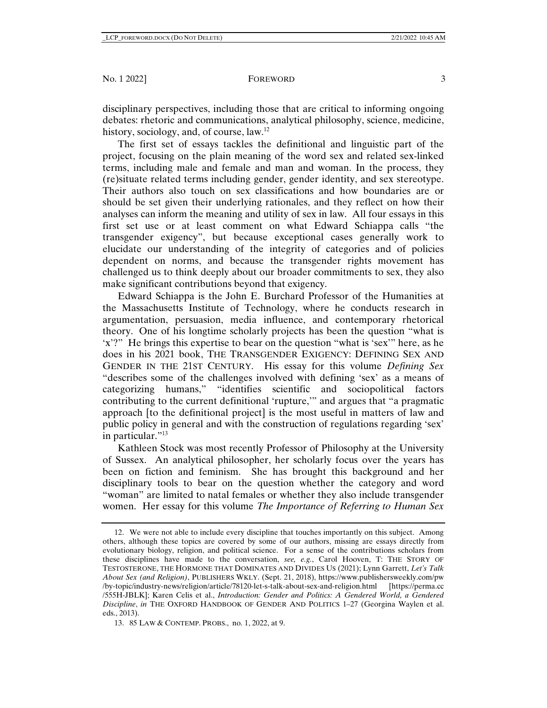disciplinary perspectives, including those that are critical to informing ongoing debates: rhetoric and communications, analytical philosophy, science, medicine, history, sociology, and, of course, law.<sup>12</sup>

The first set of essays tackles the definitional and linguistic part of the project, focusing on the plain meaning of the word sex and related sex-linked terms, including male and female and man and woman. In the process, they (re)situate related terms including gender, gender identity, and sex stereotype. Their authors also touch on sex classifications and how boundaries are or should be set given their underlying rationales, and they reflect on how their analyses can inform the meaning and utility of sex in law. All four essays in this first set use or at least comment on what Edward Schiappa calls "the transgender exigency", but because exceptional cases generally work to elucidate our understanding of the integrity of categories and of policies dependent on norms, and because the transgender rights movement has challenged us to think deeply about our broader commitments to sex, they also make significant contributions beyond that exigency.

Edward Schiappa is the John E. Burchard Professor of the Humanities at the Massachusetts Institute of Technology, where he conducts research in argumentation, persuasion, media influence, and contemporary rhetorical theory. One of his longtime scholarly projects has been the question "what is 'x'?" He brings this expertise to bear on the question "what is 'sex'" here, as he does in his 2021 book, THE TRANSGENDER EXIGENCY: DEFINING SEX AND GENDER IN THE 21ST CENTURY. His essay for this volume *Defining Sex* "describes some of the challenges involved with defining 'sex' as a means of categorizing humans," "identifies scientific and sociopolitical factors contributing to the current definitional 'rupture,'" and argues that "a pragmatic approach [to the definitional project] is the most useful in matters of law and public policy in general and with the construction of regulations regarding 'sex' in particular."<sup>13</sup>

Kathleen Stock was most recently Professor of Philosophy at the University of Sussex. An analytical philosopher, her scholarly focus over the years has been on fiction and feminism. She has brought this background and her disciplinary tools to bear on the question whether the category and word "woman" are limited to natal females or whether they also include transgender women. Her essay for this volume *The Importance of Referring to Human Sex* 

 <sup>12.</sup> We were not able to include every discipline that touches importantly on this subject. Among others, although these topics are covered by some of our authors, missing are essays directly from evolutionary biology, religion, and political science. For a sense of the contributions scholars from these disciplines have made to the conversation, *see, e.g.*, Carol Hooven, T: THE STORY OF TESTOSTERONE, THE HORMONE THAT DOMINATES AND DIVIDES US (2021); Lynn Garrett, *Let's Talk About Sex (and Religion)*, PUBLISHERS WKLY. (Sept. 21, 2018), https://www.publishersweekly.com/pw /by-topic/industry-news/religion/article/78120-let-s-talk-about-sex-and-religion.html [https://perma.cc /555H-JBLK]; Karen Celis et al., *Introduction: Gender and Politics: A Gendered World, a Gendered Discipline*, *in* THE OXFORD HANDBOOK OF GENDER AND POLITICS 1–27 (Georgina Waylen et al. eds., 2013).

 <sup>13. 85</sup> LAW & CONTEMP. PROBS., no. 1, 2022, at 9.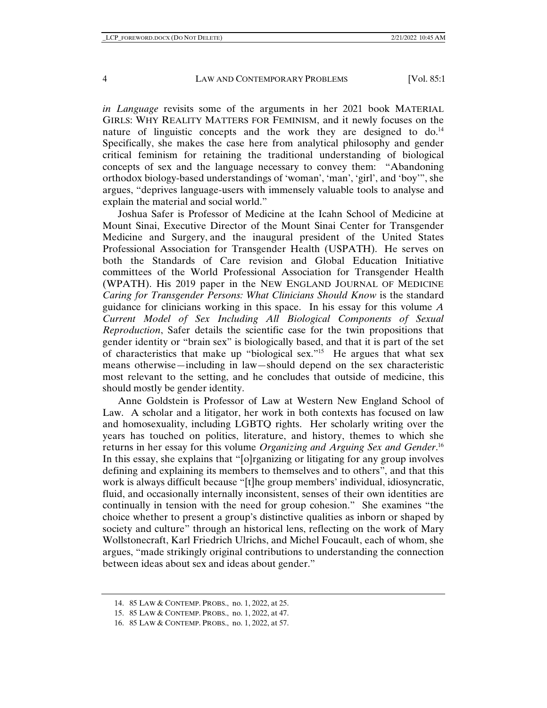*in Language* revisits some of the arguments in her 2021 book MATERIAL GIRLS: WHY REALITY MATTERS FOR FEMINISM, and it newly focuses on the nature of linguistic concepts and the work they are designed to  $do^{14}$ Specifically, she makes the case here from analytical philosophy and gender critical feminism for retaining the traditional understanding of biological concepts of sex and the language necessary to convey them: "Abandoning orthodox biology-based understandings of 'woman', 'man', 'girl', and 'boy'", she argues, "deprives language-users with immensely valuable tools to analyse and explain the material and social world."

Joshua Safer is Professor of Medicine at the Icahn School of Medicine at Mount Sinai, Executive Director of the Mount Sinai Center for Transgender Medicine and Surgery, and the inaugural president of the United States Professional Association for Transgender Health (USPATH). He serves on both the Standards of Care revision and Global Education Initiative committees of the World Professional Association for Transgender Health (WPATH). His 2019 paper in the NEW ENGLAND JOURNAL OF MEDICINE *Caring for Transgender Persons: What Clinicians Should Know* is the standard guidance for clinicians working in this space. In his essay for this volume *A Current Model of Sex Including All Biological Components of Sexual Reproduction*, Safer details the scientific case for the twin propositions that gender identity or "brain sex" is biologically based, and that it is part of the set of characteristics that make up "biological sex."15 He argues that what sex means otherwise—including in law—should depend on the sex characteristic most relevant to the setting, and he concludes that outside of medicine, this should mostly be gender identity.

Anne Goldstein is Professor of Law at Western New England School of Law. A scholar and a litigator, her work in both contexts has focused on law and homosexuality, including LGBTQ rights. Her scholarly writing over the years has touched on politics, literature, and history, themes to which she returns in her essay for this volume *Organizing and Arguing Sex and Gender*. 16 In this essay, she explains that "[o]rganizing or litigating for any group involves defining and explaining its members to themselves and to others", and that this work is always difficult because "[t]he group members' individual, idiosyncratic, fluid, and occasionally internally inconsistent, senses of their own identities are continually in tension with the need for group cohesion." She examines "the choice whether to present a group's distinctive qualities as inborn or shaped by society and culture" through an historical lens, reflecting on the work of Mary Wollstonecraft, Karl Friedrich Ulrichs, and Michel Foucault, each of whom, she argues, "made strikingly original contributions to understanding the connection between ideas about sex and ideas about gender."

 <sup>14. 85</sup> LAW & CONTEMP. PROBS., no. 1, 2022, at 25.

 <sup>15. 85</sup> LAW & CONTEMP. PROBS., no. 1, 2022, at 47.

 <sup>16. 85</sup> LAW & CONTEMP. PROBS., no. 1, 2022, at 57.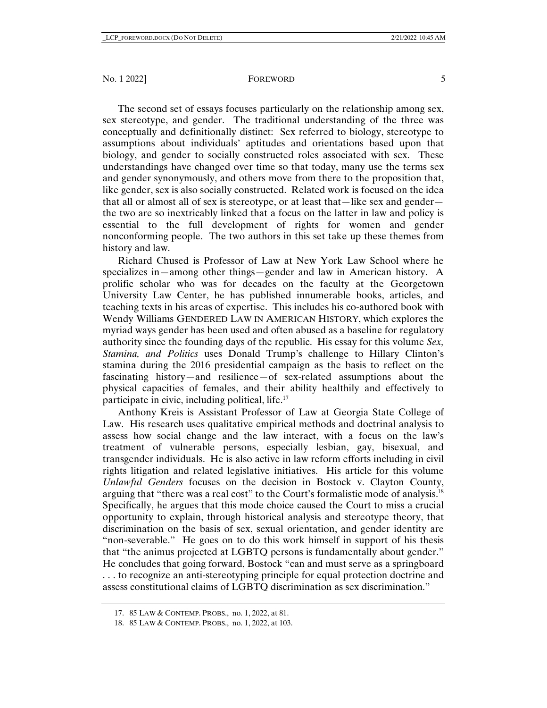The second set of essays focuses particularly on the relationship among sex, sex stereotype, and gender. The traditional understanding of the three was conceptually and definitionally distinct: Sex referred to biology, stereotype to assumptions about individuals' aptitudes and orientations based upon that biology, and gender to socially constructed roles associated with sex. These understandings have changed over time so that today, many use the terms sex and gender synonymously, and others move from there to the proposition that, like gender, sex is also socially constructed. Related work is focused on the idea that all or almost all of sex is stereotype, or at least that—like sex and gender the two are so inextricably linked that a focus on the latter in law and policy is essential to the full development of rights for women and gender nonconforming people. The two authors in this set take up these themes from history and law.

Richard Chused is Professor of Law at New York Law School where he specializes in—among other things—gender and law in American history. A prolific scholar who was for decades on the faculty at the Georgetown University Law Center, he has published innumerable books, articles, and teaching texts in his areas of expertise. This includes his co-authored book with Wendy Williams GENDERED LAW IN AMERICAN HISTORY, which explores the myriad ways gender has been used and often abused as a baseline for regulatory authority since the founding days of the republic. His essay for this volume *Sex, Stamina, and Politics* uses Donald Trump's challenge to Hillary Clinton's stamina during the 2016 presidential campaign as the basis to reflect on the fascinating history—and resilience—of sex-related assumptions about the physical capacities of females, and their ability healthily and effectively to participate in civic, including political, life.<sup>17</sup>

Anthony Kreis is Assistant Professor of Law at Georgia State College of Law. His research uses qualitative empirical methods and doctrinal analysis to assess how social change and the law interact, with a focus on the law's treatment of vulnerable persons, especially lesbian, gay, bisexual, and transgender individuals. He is also active in law reform efforts including in civil rights litigation and related legislative initiatives. His article for this volume *Unlawful Genders* focuses on the decision in Bostock v. Clayton County, arguing that "there was a real cost" to the Court's formalistic mode of analysis.<sup>18</sup> Specifically, he argues that this mode choice caused the Court to miss a crucial opportunity to explain, through historical analysis and stereotype theory, that discrimination on the basis of sex, sexual orientation, and gender identity are "non-severable." He goes on to do this work himself in support of his thesis that "the animus projected at LGBTQ persons is fundamentally about gender." He concludes that going forward, Bostock "can and must serve as a springboard . . . to recognize an anti-stereotyping principle for equal protection doctrine and assess constitutional claims of LGBTQ discrimination as sex discrimination."

 <sup>17. 85</sup> LAW & CONTEMP. PROBS., no. 1, 2022, at 81.

 <sup>18. 85</sup> LAW & CONTEMP. PROBS., no. 1, 2022, at 103.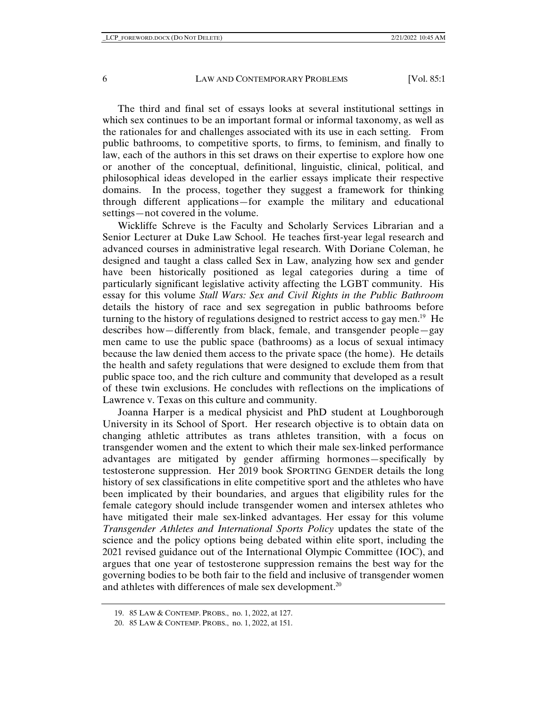The third and final set of essays looks at several institutional settings in which sex continues to be an important formal or informal taxonomy, as well as the rationales for and challenges associated with its use in each setting. From public bathrooms, to competitive sports, to firms, to feminism, and finally to law, each of the authors in this set draws on their expertise to explore how one or another of the conceptual, definitional, linguistic, clinical, political, and philosophical ideas developed in the earlier essays implicate their respective domains. In the process, together they suggest a framework for thinking through different applications—for example the military and educational settings—not covered in the volume.

Wickliffe Schreve is the Faculty and Scholarly Services Librarian and a Senior Lecturer at Duke Law School. He teaches first-year legal research and advanced courses in administrative legal research. With Doriane Coleman, he designed and taught a class called Sex in Law, analyzing how sex and gender have been historically positioned as legal categories during a time of particularly significant legislative activity affecting the LGBT community. His essay for this volume *Stall Wars: Sex and Civil Rights in the Public Bathroom* details the history of race and sex segregation in public bathrooms before turning to the history of regulations designed to restrict access to gay men.<sup>19</sup> He describes how—differently from black, female, and transgender people—gay men came to use the public space (bathrooms) as a locus of sexual intimacy because the law denied them access to the private space (the home). He details the health and safety regulations that were designed to exclude them from that public space too, and the rich culture and community that developed as a result of these twin exclusions. He concludes with reflections on the implications of Lawrence v. Texas on this culture and community.

Joanna Harper is a medical physicist and PhD student at Loughborough University in its School of Sport. Her research objective is to obtain data on changing athletic attributes as trans athletes transition, with a focus on transgender women and the extent to which their male sex-linked performance advantages are mitigated by gender affirming hormones—specifically by testosterone suppression. Her 2019 book SPORTING GENDER details the long history of sex classifications in elite competitive sport and the athletes who have been implicated by their boundaries, and argues that eligibility rules for the female category should include transgender women and intersex athletes who have mitigated their male sex-linked advantages. Her essay for this volume *Transgender Athletes and International Sports Policy* updates the state of the science and the policy options being debated within elite sport, including the 2021 revised guidance out of the International Olympic Committee (IOC), and argues that one year of testosterone suppression remains the best way for the governing bodies to be both fair to the field and inclusive of transgender women and athletes with differences of male sex development.<sup>20</sup>

 <sup>19. 85</sup> LAW & CONTEMP. PROBS., no. 1, 2022, at 127.

 <sup>20. 85</sup> LAW & CONTEMP. PROBS., no. 1, 2022, at 151.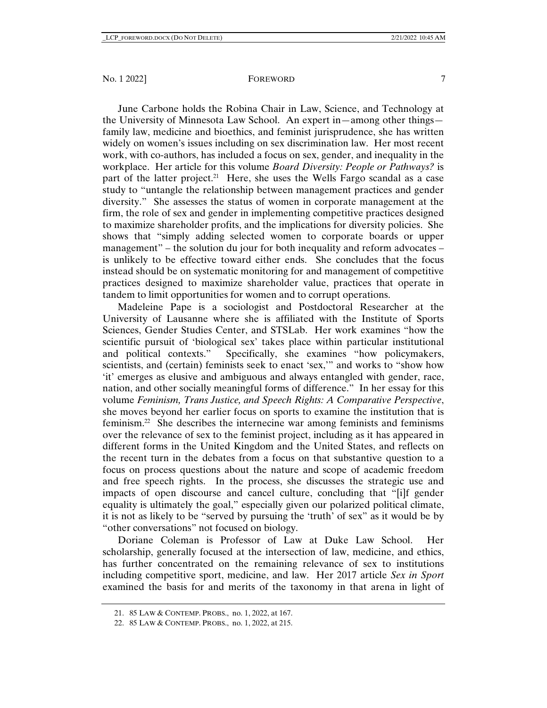June Carbone holds the Robina Chair in Law, Science, and Technology at the University of Minnesota Law School. An expert in—among other things family law, medicine and bioethics, and feminist jurisprudence, she has written widely on women's issues including on sex discrimination law. Her most recent work, with co-authors, has included a focus on sex, gender, and inequality in the workplace. Her article for this volume *Board Diversity: People or Pathways?* is part of the latter project.<sup>21</sup> Here, she uses the Wells Fargo scandal as a case study to "untangle the relationship between management practices and gender diversity." She assesses the status of women in corporate management at the firm, the role of sex and gender in implementing competitive practices designed to maximize shareholder profits, and the implications for diversity policies. She shows that "simply adding selected women to corporate boards or upper management" – the solution du jour for both inequality and reform advocates – is unlikely to be effective toward either ends. She concludes that the focus instead should be on systematic monitoring for and management of competitive practices designed to maximize shareholder value, practices that operate in tandem to limit opportunities for women and to corrupt operations.

Madeleine Pape is a sociologist and Postdoctoral Researcher at the University of Lausanne where she is affiliated with the Institute of Sports Sciences, Gender Studies Center, and STSLab. Her work examines "how the scientific pursuit of 'biological sex' takes place within particular institutional and political contexts." Specifically, she examines "how policymakers, scientists, and (certain) feminists seek to enact 'sex,'" and works to "show how 'it' emerges as elusive and ambiguous and always entangled with gender, race, nation, and other socially meaningful forms of difference." In her essay for this volume *Feminism, Trans Justice, and Speech Rights: A Comparative Perspective*, she moves beyond her earlier focus on sports to examine the institution that is feminism.22 She describes the internecine war among feminists and feminisms over the relevance of sex to the feminist project, including as it has appeared in different forms in the United Kingdom and the United States, and reflects on the recent turn in the debates from a focus on that substantive question to a focus on process questions about the nature and scope of academic freedom and free speech rights. In the process, she discusses the strategic use and impacts of open discourse and cancel culture, concluding that "[i]f gender equality is ultimately the goal," especially given our polarized political climate, it is not as likely to be "served by pursuing the 'truth' of sex" as it would be by "other conversations" not focused on biology.

Doriane Coleman is Professor of Law at Duke Law School. Her scholarship, generally focused at the intersection of law, medicine, and ethics, has further concentrated on the remaining relevance of sex to institutions including competitive sport, medicine, and law. Her 2017 article *Sex in Sport* examined the basis for and merits of the taxonomy in that arena in light of

 <sup>21. 85</sup> LAW & CONTEMP. PROBS., no. 1, 2022, at 167.

 <sup>22. 85</sup> LAW & CONTEMP. PROBS., no. 1, 2022, at 215.